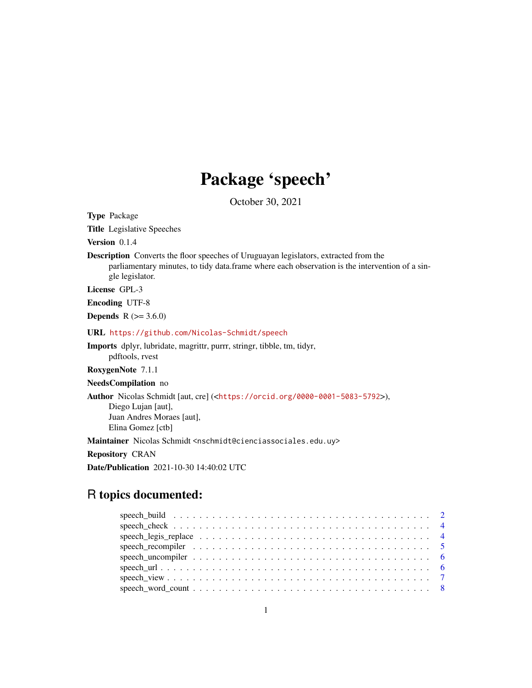## Package 'speech'

October 30, 2021

Type Package

Title Legislative Speeches

Version 0.1.4

Description Converts the floor speeches of Uruguayan legislators, extracted from the parliamentary minutes, to tidy data.frame where each observation is the intervention of a single legislator.

License GPL-3

Encoding UTF-8

**Depends** R  $(>= 3.6.0)$ 

URL <https://github.com/Nicolas-Schmidt/speech>

Imports dplyr, lubridate, magrittr, purrr, stringr, tibble, tm, tidyr, pdftools, rvest

RoxygenNote 7.1.1

NeedsCompilation no

Author Nicolas Schmidt [aut, cre] (<<https://orcid.org/0000-0001-5083-5792>>),

Diego Lujan [aut], Juan Andres Moraes [aut], Elina Gomez [ctb]

Maintainer Nicolas Schmidt <nschmidt@cienciassociales.edu.uy>

Repository CRAN

Date/Publication 2021-10-30 14:40:02 UTC

## R topics documented: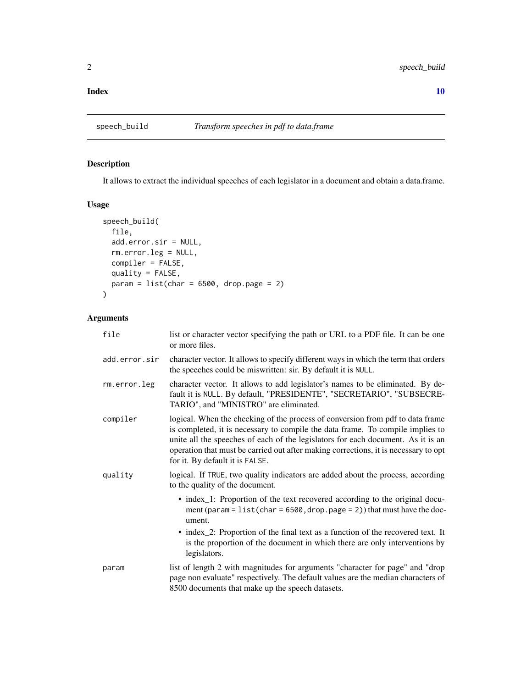#### <span id="page-1-0"></span> $\blacksquare$

## Description

It allows to extract the individual speeches of each legislator in a document and obtain a data.frame.

#### Usage

```
speech_build(
 file,
 add.error.sir = NULL,
 rm.error.leg = NULL,
 compiler = FALSE,
 quality = FALSE,
 param = list(char = 6500, drop.page = 2))
```
#### Arguments

| file          | list or character vector specifying the path or URL to a PDF file. It can be one<br>or more files.                                                                                                                                                                                                                                                                             |
|---------------|--------------------------------------------------------------------------------------------------------------------------------------------------------------------------------------------------------------------------------------------------------------------------------------------------------------------------------------------------------------------------------|
| add.error.sir | character vector. It allows to specify different ways in which the term that orders<br>the speeches could be miswritten: sir. By default it is NULL.                                                                                                                                                                                                                           |
| rm.error.leg  | character vector. It allows to add legislator's names to be eliminated. By de-<br>fault it is NULL. By default, "PRESIDENTE", "SECRETARIO", "SUBSECRE-<br>TARIO", and "MINISTRO" are eliminated.                                                                                                                                                                               |
| compiler      | logical. When the checking of the process of conversion from pdf to data frame<br>is completed, it is necessary to compile the data frame. To compile implies to<br>unite all the speeches of each of the legislators for each document. As it is an<br>operation that must be carried out after making corrections, it is necessary to opt<br>for it. By default it is FALSE. |
| quality       | logical. If TRUE, two quality indicators are added about the process, according<br>to the quality of the document.                                                                                                                                                                                                                                                             |
|               | • index_1: Proportion of the text recovered according to the original docu-<br>ment (param = $list(char = 6500, drop.png$ page = 2)) that must have the doc-<br>ument.                                                                                                                                                                                                         |
|               | • index_2: Proportion of the final text as a function of the recovered text. It<br>is the proportion of the document in which there are only interventions by<br>legislators.                                                                                                                                                                                                  |
| param         | list of length 2 with magnitudes for arguments "character for page" and "drop"<br>page non evaluate" respectively. The default values are the median characters of<br>8500 documents that make up the speech datasets.                                                                                                                                                         |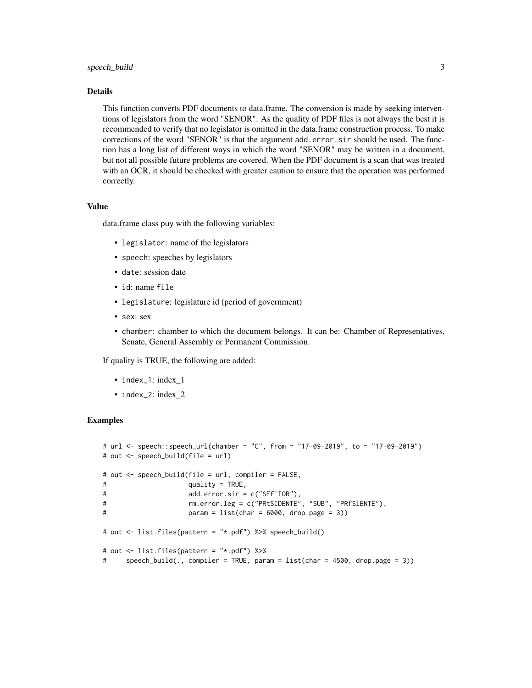#### speech\_build 3

#### Details

This function converts PDF documents to data.frame. The conversion is made by seeking interventions of legislators from the word "SENOR". As the quality of PDF files is not always the best it is recommended to verify that no legislator is omitted in the data.frame construction process. To make corrections of the word "SENOR" is that the argument add.error.sir should be used. The function has a long list of different ways in which the word "SENOR" may be written in a document, but not all possible future problems are covered. When the PDF document is a scan that was treated with an OCR, it should be checked with greater caution to ensure that the operation was performed correctly.

#### Value

data.frame class puy with the following variables:

- legislator: name of the legislators
- speech: speeches by legislators
- date: session date
- id: name file
- legislature: legislature id (period of government)
- sex: sex
- chamber: chamber to which the document belongs. It can be: Chamber of Representatives, Senate, General Assembly or Permanent Commission.

If quality is TRUE, the following are added:

- index\_1: index\_1
- index\_2: index 2

#### Examples

```
# url <- speech::speech_url(chamber = "C", from = "17-09-2019", to = "17-09-2019")
# out <- speech_build(file = url)
# out <- speech_build(file = url, compiler = FALSE,
# quality = TRUE,
# add.error.sir = c("SEf'IOR"),
# rm.error.leg = c("PRtSIDENTE", "SUB", "PRfSlENTE"),
# param = list(char = 6000, drop.page = 3))
# out <- list.files(pattern = "*.pdf") %>% speech_build()
# out <- list.files(pattern = "*.pdf") %>%
# speech_build(., compiler = TRUE, param = list(char = 4500, drop.page = 3))
```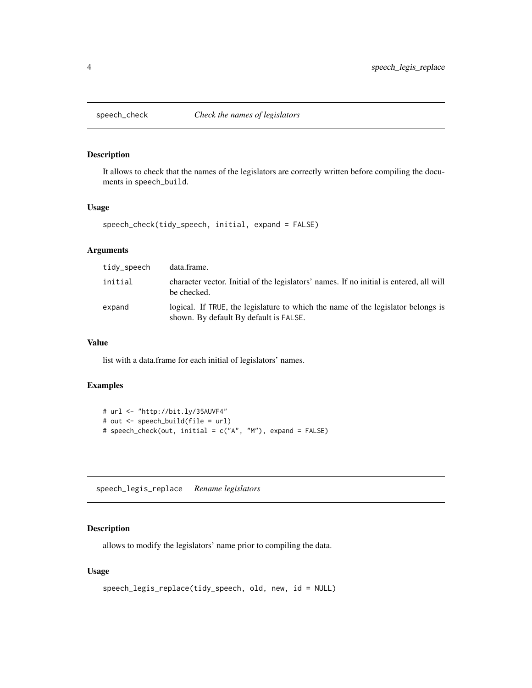<span id="page-3-0"></span>

#### Description

It allows to check that the names of the legislators are correctly written before compiling the documents in speech\_build.

#### Usage

```
speech_check(tidy_speech, initial, expand = FALSE)
```
#### Arguments

| tidy_speech | data.frame.                                                                                                                |
|-------------|----------------------------------------------------------------------------------------------------------------------------|
| initial     | character vector. Initial of the legislators' names. If no initial is entered, all will<br>be checked.                     |
| expand      | logical. If TRUE, the legislature to which the name of the legislator belongs is<br>shown. By default By default is FALSE. |

#### Value

list with a data.frame for each initial of legislators' names.

#### Examples

```
# url <- "http://bit.ly/35AUVF4"
# out <- speech_build(file = url)
# speech_check(out, initial = c("A", "M"), expand = FALSE)
```
speech\_legis\_replace *Rename legislators*

#### Description

allows to modify the legislators' name prior to compiling the data.

#### Usage

```
speech_legis_replace(tidy_speech, old, new, id = NULL)
```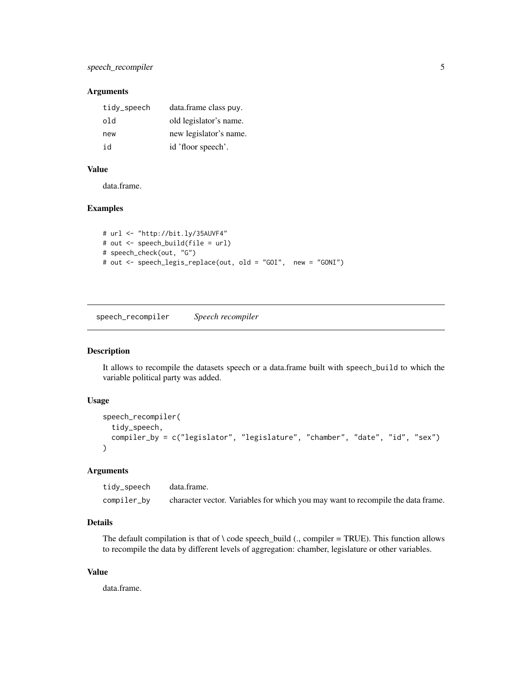#### <span id="page-4-0"></span>Arguments

| tidy_speech | data.frame class puy.  |
|-------------|------------------------|
| old         | old legislator's name. |
| new         | new legislator's name. |
| id          | id 'floor speech'.     |

#### Value

data.frame.

#### Examples

```
# url <- "http://bit.ly/35AUVF4"
# out <- speech_build(file = url)
# speech_check(out, "G")
# out <- speech_legis_replace(out, old = "GOI", new = "GONI")
```
speech\_recompiler *Speech recompiler*

#### Description

It allows to recompile the datasets speech or a data.frame built with speech\_build to which the variable political party was added.

#### Usage

```
speech_recompiler(
  tidy_speech,
  compiler_by = c("legislator", "legislature", "chamber", "date", "id", "sex")
)
```
#### Arguments

tidy\_speech data.frame. compiler\_by character vector. Variables for which you may want to recompile the data frame.

## Details

The default compilation is that of  $\backslash$  code speech\_build (., compiler = TRUE). This function allows to recompile the data by different levels of aggregation: chamber, legislature or other variables.

#### Value

data.frame.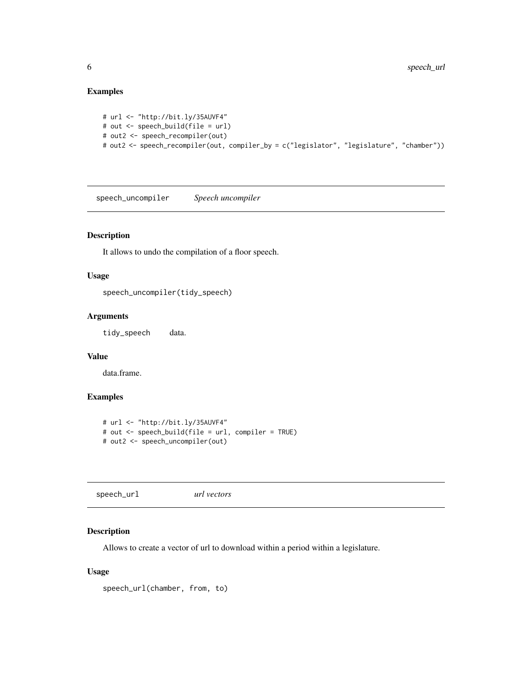#### <span id="page-5-0"></span>Examples

```
# url <- "http://bit.ly/35AUVF4"
# out <- speech_build(file = url)
# out2 <- speech_recompiler(out)
# out2 <- speech_recompiler(out, compiler_by = c("legislator", "legislature", "chamber"))
```
speech\_uncompiler *Speech uncompiler*

#### Description

It allows to undo the compilation of a floor speech.

#### Usage

speech\_uncompiler(tidy\_speech)

#### Arguments

tidy\_speech data.

#### Value

data.frame.

## Examples

```
# url <- "http://bit.ly/35AUVF4"
# out <- speech_build(file = url, compiler = TRUE)
# out2 <- speech_uncompiler(out)
```
speech\_url *url vectors*

#### Description

Allows to create a vector of url to download within a period within a legislature.

#### Usage

```
speech_url(chamber, from, to)
```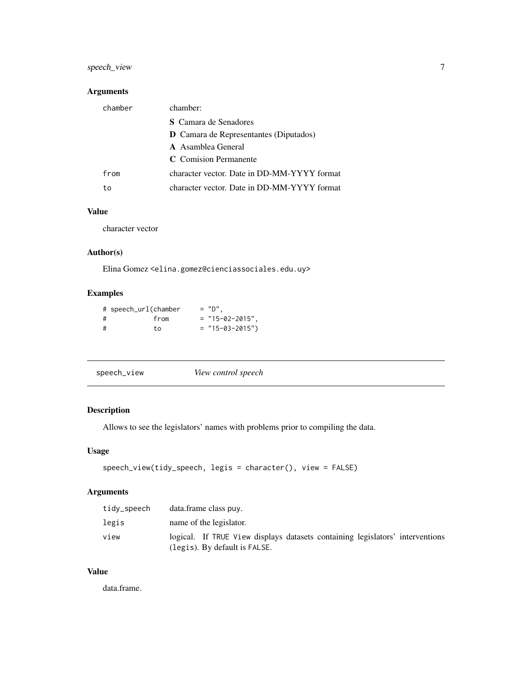## <span id="page-6-0"></span>speech\_view 7

## Arguments

| chamber | chamber:                                      |
|---------|-----------------------------------------------|
|         | <b>S</b> Camara de Senadores                  |
|         | <b>D</b> Camara de Representantes (Diputados) |
|         | <b>A</b> Asamblea General                     |
|         | C Comision Permanente                         |
| from    | character vector. Date in DD-MM-YYYY format   |
| to      | character vector. Date in DD-MM-YYYY format   |

## Value

character vector

#### Author(s)

Elina Gomez <elina.gomez@cienciassociales.edu.uy>

## Examples

|   | # speech_url(chamber | $=$ "D",          |
|---|----------------------|-------------------|
| # | from                 | $=$ "15-02-2015", |
| # | t o                  | $=$ "15-03-2015") |

|--|

## Description

Allows to see the legislators' names with problems prior to compiling the data.

#### Usage

```
speech_view(tidy_speech, legis = character(), view = FALSE)
```
#### Arguments

| tidy_speech | data.frame class puy.                                                                                          |
|-------------|----------------------------------------------------------------------------------------------------------------|
| legis       | name of the legislator.                                                                                        |
| view        | logical. If TRUE View displays datasets containing legislators' interventions<br>(legis). By default is FALSE. |

#### Value

data.frame.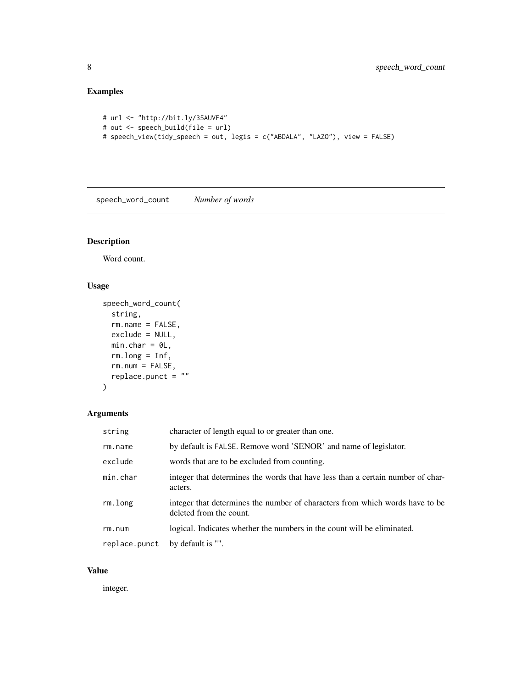## <span id="page-7-0"></span>Examples

```
# url <- "http://bit.ly/35AUVF4"
# out <- speech_build(file = url)
# speech_view(tidy_speech = out, legis = c("ABDALA", "LAZO"), view = FALSE)
```
speech\_word\_count *Number of words*

## Description

Word count.

#### Usage

```
speech_word_count(
  string,
  rm.name = FALSE,
  exclude = NULL,
  min(char = 0L,rm.long = Inf,
  rm.num = FALSE,
  replace.punct = ""
\overline{\phantom{a}}
```
#### Arguments

| string        | character of length equal to or greater than one.                                                       |
|---------------|---------------------------------------------------------------------------------------------------------|
| $rm$ . $name$ | by default is FALSE. Remove word 'SENOR' and name of legislator.                                        |
| exclude       | words that are to be excluded from counting.                                                            |
| min.char      | integer that determines the words that have less than a certain number of char-<br>acters.              |
| rm.long       | integer that determines the number of characters from which words have to be<br>deleted from the count. |
| rm.m.         | logical. Indicates whether the numbers in the count will be eliminated.                                 |
| replace.punct | by default is "".                                                                                       |

## Value

integer.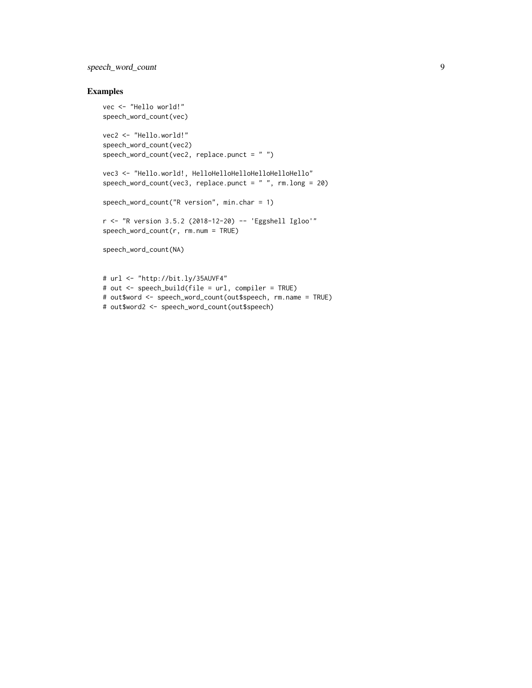## speech\_word\_count 9

#### Examples

```
vec <- "Hello world!"
speech_word_count(vec)
vec2 <- "Hello.world!"
speech_word_count(vec2)
speech_word_count(vec2, replace.punct = " ")
vec3 <- "Hello.world!, HelloHelloHelloHelloHelloHello"
speech_word_count(vec3, replace.punct = " ", rm.long = 20)
speech_word_count("R version", min.char = 1)
r <- "R version 3.5.2 (2018-12-20) -- 'Eggshell Igloo'"
speech_word_count(r, rm.num = TRUE)
speech_word_count(NA)
# url <- "http://bit.ly/35AUVF4"
# out <- speech_build(file = url, compiler = TRUE)
```
# out\$word <- speech\_word\_count(out\$speech, rm.name = TRUE)

# out\$word2 <- speech\_word\_count(out\$speech)